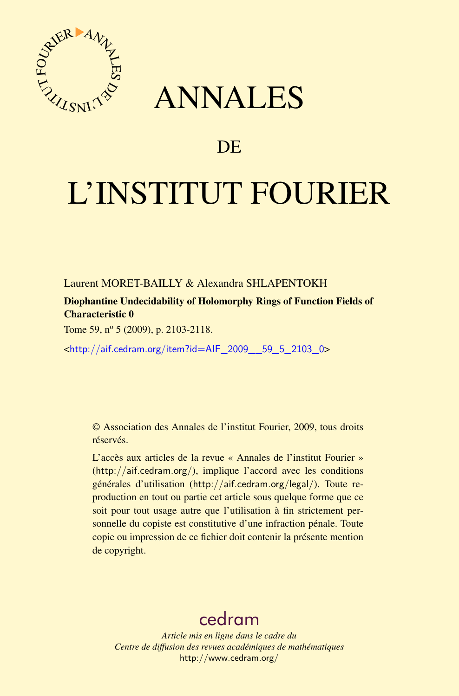

## ANNALES

## **DE**

# L'INSTITUT FOURIER

Laurent MORET-BAILLY & Alexandra SHLAPENTOKH

Diophantine Undecidability of Holomorphy Rings of Function Fields of Characteristic 0

Tome 59, nº 5 (2009), p. 2103-2118.

<[http://aif.cedram.org/item?id=AIF\\_2009\\_\\_59\\_5\\_2103\\_0](http://aif.cedram.org/item?id=AIF_2009__59_5_2103_0)>

© Association des Annales de l'institut Fourier, 2009, tous droits réservés.

L'accès aux articles de la revue « Annales de l'institut Fourier » (<http://aif.cedram.org/>), implique l'accord avec les conditions générales d'utilisation (<http://aif.cedram.org/legal/>). Toute reproduction en tout ou partie cet article sous quelque forme que ce soit pour tout usage autre que l'utilisation à fin strictement personnelle du copiste est constitutive d'une infraction pénale. Toute copie ou impression de ce fichier doit contenir la présente mention de copyright.

## [cedram](http://www.cedram.org/)

*Article mis en ligne dans le cadre du Centre de diffusion des revues académiques de mathématiques* <http://www.cedram.org/>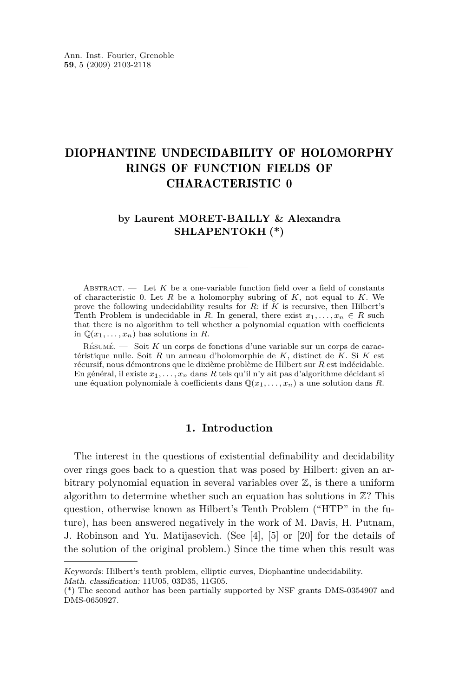### DIOPHANTINE UNDECIDABILITY OF HOLOMORPHY RINGS OF FUNCTION FIELDS OF CHARACTERISTIC 0

#### **by Laurent MORET-BAILLY & Alexandra SHLAPENTOKH (\*)**

ABSTRACT.  $\qquad$  Let K be a one-variable function field over a field of constants of characteristic 0. Let *R* be a holomorphy subring of *K*, not equal to *K*. We prove the following undecidability results for *R*: if *K* is recursive, then Hilbert's Tenth Problem is undecidable in *R*. In general, there exist  $x_1, \ldots, x_n \in R$  such that there is no algorithm to tell whether a polynomial equation with coefficients in  $\mathbb{Q}(x_1, \ldots, x_n)$  has solutions in *R*.

Résumé. — Soit *K* un corps de fonctions d'une variable sur un corps de caractéristique nulle. Soit *R* un anneau d'holomorphie de *K*, distinct de *K*. Si *K* est récursif, nous démontrons que le dixième problème de Hilbert sur *R* est indécidable. En général, il existe  $x_1, \ldots, x_n$  dans  $R$  tels qu'il n'y ait pas d'algorithme décidant si une équation polynomiale à coefficients dans  $\mathbb{Q}(x_1, \ldots, x_n)$  a une solution dans *R*.

#### **1. Introduction**

The interest in the questions of existential definability and decidability over rings goes back to a question that was posed by Hilbert: given an arbitrary polynomial equation in several variables over  $\mathbb{Z}$ , is there a uniform algorithm to determine whether such an equation has solutions in  $\mathbb{Z}$ ? This question, otherwise known as Hilbert's Tenth Problem ("HTP" in the future), has been answered negatively in the work of M. Davis, H. Putnam, J. Robinson and Yu. Matijasevich. (See [\[4\]](#page-13-0), [\[5\]](#page-13-0) or [\[20\]](#page-14-0) for the details of the solution of the original problem.) Since the time when this result was

Keywords: Hilbert's tenth problem, elliptic curves, Diophantine undecidability.

Math. classification: 11U05, 03D35, 11G05.

<sup>(\*)</sup> The second author has been partially supported by NSF grants DMS-0354907 and DMS-0650927.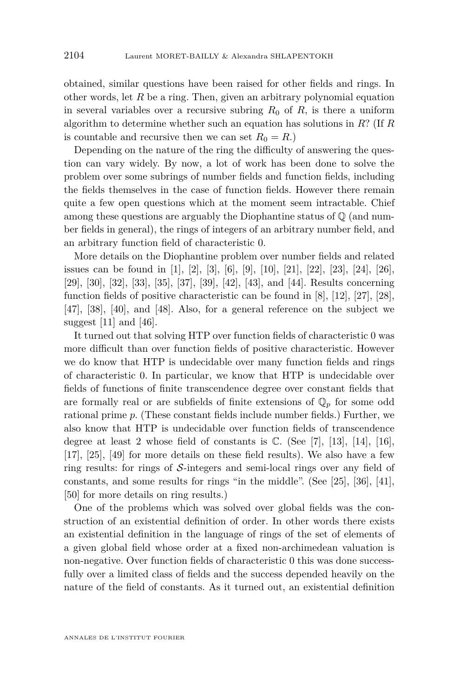obtained, similar questions have been raised for other fields and rings. In other words, let *R* be a ring. Then, given an arbitrary polynomial equation in several variables over a recursive subring  $R_0$  of  $R$ , is there a uniform algorithm to determine whether such an equation has solutions in *R*? (If *R* is countable and recursive then we can set  $R_0 = R$ .)

Depending on the nature of the ring the difficulty of answering the question can vary widely. By now, a lot of work has been done to solve the problem over some subrings of number fields and function fields, including the fields themselves in the case of function fields. However there remain quite a few open questions which at the moment seem intractable. Chief among these questions are arguably the Diophantine status of  $\mathbb Q$  (and number fields in general), the rings of integers of an arbitrary number field, and an arbitrary function field of characteristic 0.

More details on the Diophantine problem over number fields and related issues can be found in [\[1\]](#page-13-0), [\[2\]](#page-13-0), [\[3\]](#page-13-0), [\[6\]](#page-14-0), [\[9\]](#page-14-0), [\[10\]](#page-14-0), [\[21\]](#page-14-0), [\[22\]](#page-14-0), [\[23\]](#page-14-0), [\[24\]](#page-14-0), [\[26\]](#page-14-0), [\[29\]](#page-15-0), [\[30\]](#page-15-0), [\[32\]](#page-15-0), [\[33\]](#page-15-0), [\[35\]](#page-15-0), [\[37\]](#page-15-0), [\[39\]](#page-15-0), [\[42\]](#page-15-0), [\[43\]](#page-15-0), and [\[44\]](#page-15-0). Results concerning function fields of positive characteristic can be found in [\[8\]](#page-14-0), [\[12\]](#page-14-0), [\[27\]](#page-14-0), [\[28\]](#page-15-0), [\[47\]](#page-15-0), [\[38\]](#page-15-0), [\[40\]](#page-15-0), and [\[48\]](#page-16-0). Also, for a general reference on the subject we suggest [\[11\]](#page-14-0) and [\[46\]](#page-15-0).

It turned out that solving HTP over function fields of characteristic 0 was more difficult than over function fields of positive characteristic. However we do know that HTP is undecidable over many function fields and rings of characteristic 0. In particular, we know that HTP is undecidable over fields of functions of finite transcendence degree over constant fields that are formally real or are subfields of finite extensions of  $\mathbb{Q}_p$  for some odd rational prime *p*. (These constant fields include number fields.) Further, we also know that HTP is undecidable over function fields of transcendence degree at least 2 whose field of constants is  $\mathbb{C}$ . (See [\[7\]](#page-14-0), [\[13\]](#page-14-0), [\[14\]](#page-14-0), [\[16\]](#page-14-0), [\[17\]](#page-14-0), [\[25\]](#page-14-0), [\[49\]](#page-16-0) for more details on these field results). We also have a few ring results: for rings of *S*-integers and semi-local rings over any field of constants, and some results for rings "in the middle". (See [\[25\]](#page-14-0), [\[36\]](#page-15-0), [\[41\]](#page-15-0), [\[50\]](#page-16-0) for more details on ring results.)

One of the problems which was solved over global fields was the construction of an existential definition of order. In other words there exists an existential definition in the language of rings of the set of elements of a given global field whose order at a fixed non-archimedean valuation is non-negative. Over function fields of characteristic 0 this was done successfully over a limited class of fields and the success depended heavily on the nature of the field of constants. As it turned out, an existential definition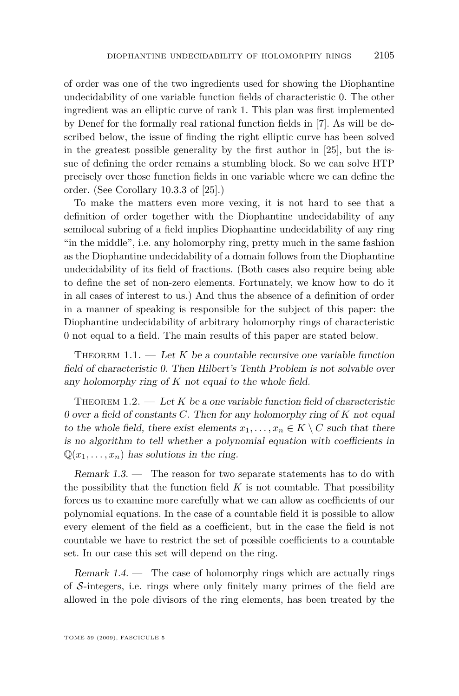<span id="page-3-0"></span>of order was one of the two ingredients used for showing the Diophantine undecidability of one variable function fields of characteristic 0. The other ingredient was an elliptic curve of rank 1. This plan was first implemented by Denef for the formally real rational function fields in [\[7\]](#page-14-0). As will be described below, the issue of finding the right elliptic curve has been solved in the greatest possible generality by the first author in [\[25\]](#page-14-0), but the issue of defining the order remains a stumbling block. So we can solve HTP precisely over those function fields in one variable where we can define the order. (See Corollary 10.3.3 of [\[25\]](#page-14-0).)

To make the matters even more vexing, it is not hard to see that a definition of order together with the Diophantine undecidability of any semilocal subring of a field implies Diophantine undecidability of any ring "in the middle", i.e. any holomorphy ring, pretty much in the same fashion as the Diophantine undecidability of a domain follows from the Diophantine undecidability of its field of fractions. (Both cases also require being able to define the set of non-zero elements. Fortunately, we know how to do it in all cases of interest to us.) And thus the absence of a definition of order in a manner of speaking is responsible for the subject of this paper: the Diophantine undecidability of arbitrary holomorphy rings of characteristic 0 not equal to a field. The main results of this paper are stated below.

THEOREM  $1.1.$  — Let K be a countable recursive one variable function field of characteristic 0. Then Hilbert's Tenth Problem is not solvable over any holomorphy ring of *K* not equal to the whole field.

THEOREM  $1.2.$  — Let K be a one variable function field of characteristic 0 over a field of constants *C*. Then for any holomorphy ring of *K* not equal to the whole field, there exist elements  $x_1, \ldots, x_n \in K \setminus C$  such that there is no algorithm to tell whether a polynomial equation with coefficients in  $\mathbb{Q}(x_1, \ldots, x_n)$  has solutions in the ring.

Remark 1.3. — The reason for two separate statements has to do with the possibility that the function field  $K$  is not countable. That possibility forces us to examine more carefully what we can allow as coefficients of our polynomial equations. In the case of a countable field it is possible to allow every element of the field as a coefficient, but in the case the field is not countable we have to restrict the set of possible coefficients to a countable set. In our case this set will depend on the ring.

Remark  $1.4.$  — The case of holomorphy rings which are actually rings of *S*-integers, i.e. rings where only finitely many primes of the field are allowed in the pole divisors of the ring elements, has been treated by the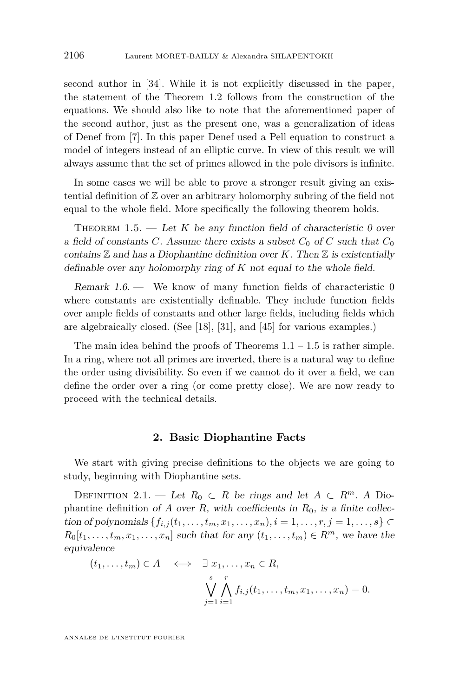<span id="page-4-0"></span>second author in [\[34\]](#page-15-0). While it is not explicitly discussed in the paper, the statement of the Theorem [1.2](#page-3-0) follows from the construction of the equations. We should also like to note that the aforementioned paper of the second author, just as the present one, was a generalization of ideas of Denef from [\[7\]](#page-14-0). In this paper Denef used a Pell equation to construct a model of integers instead of an elliptic curve. In view of this result we will always assume that the set of primes allowed in the pole divisors is infinite.

In some cases we will be able to prove a stronger result giving an existential definition of Z over an arbitrary holomorphy subring of the field not equal to the whole field. More specifically the following theorem holds.

THEOREM 1.5.  $-$  Let K be any function field of characteristic 0 over a field of constants *C*. Assume there exists a subset  $C_0$  of *C* such that  $C_0$ contains  $\mathbb Z$  and has a Diophantine definition over  $K$ . Then  $\mathbb Z$  is existentially definable over any holomorphy ring of *K* not equal to the whole field.

Remark 1.6. — We know of many function fields of characteristic 0 where constants are existentially definable. They include function fields over ample fields of constants and other large fields, including fields which are algebraically closed. (See [\[18\]](#page-14-0), [\[31\]](#page-15-0), and [\[45\]](#page-15-0) for various examples.)

The main idea behind the proofs of Theorems  $1.1 - 1.5$  $1.1 - 1.5$  is rather simple. In a ring, where not all primes are inverted, there is a natural way to define the order using divisibility. So even if we cannot do it over a field, we can define the order over a ring (or come pretty close). We are now ready to proceed with the technical details.

#### **2. Basic Diophantine Facts**

We start with giving precise definitions to the objects we are going to study, beginning with Diophantine sets.

DEFINITION 2.1. — Let  $R_0 \subset R$  be rings and let  $A \subset R^m$ . A Diophantine definition of *A* over *R*, with coefficients in  $R_0$ , is a finite collec*tion of polynomials* { $f_{i,j}(t_1, \ldots, t_m, x_1, \ldots, x_n)$ , *i* = 1, . . . , *r*, *j* = 1, . . . , *s*} ⊂  $R_0[t_1, \ldots, t_m, x_1, \ldots, x_n]$  such that for any  $(t_1, \ldots, t_m) \in R^m$ , we have the equivalence

$$
(t_1, \ldots, t_m) \in A \quad \Longleftrightarrow \quad \exists \; x_1, \ldots, x_n \in R,
$$
  

$$
\bigvee_{j=1}^s \bigwedge_{i=1}^r f_{i,j}(t_1, \ldots, t_m, x_1, \ldots, x_n) = 0.
$$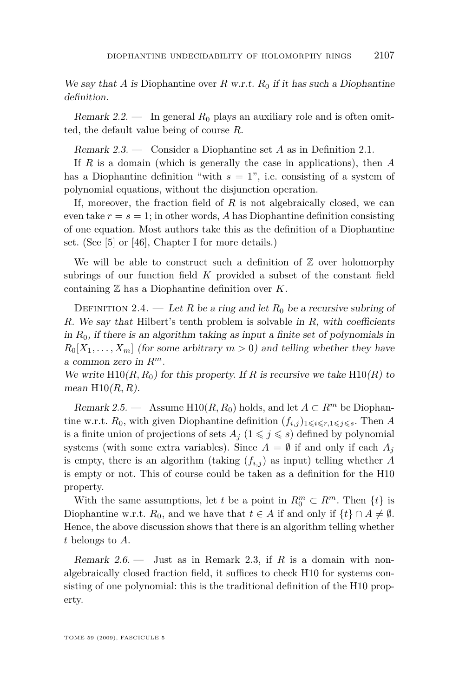We say that *A* is Diophantine over *R* w.r.t.  $R_0$  if it has such a Diophantine definition.

Remark  $2.2$ . — In general  $R_0$  plays an auxiliary role and is often omitted, the default value being of course *R*.

Remark 2.3. — Consider a Diophantine set *A* as in Definition [2.1.](#page-4-0)

If *R* is a domain (which is generally the case in applications), then *A* has a Diophantine definition "with  $s = 1$ ", i.e. consisting of a system of polynomial equations, without the disjunction operation.

If, moreover, the fraction field of *R* is not algebraically closed, we can even take  $r = s = 1$ ; in other words, A has Diophantine definition consisting of one equation. Most authors take this as the definition of a Diophantine set. (See [\[5\]](#page-13-0) or [\[46\]](#page-15-0), Chapter I for more details.)

We will be able to construct such a definition of  $\mathbb Z$  over holomorphy subrings of our function field *K* provided a subset of the constant field containing Z has a Diophantine definition over *K*.

DEFINITION 2.4. — Let *R* be a ring and let  $R_0$  be a recursive subring of *R*. We say that Hilbert's tenth problem is solvable in *R*, with coefficients in *R*0, if there is an algorithm taking as input a finite set of polynomials in  $R_0[X_1, \ldots, X_m]$  (for some arbitrary  $m > 0$ ) and telling whether they have a common zero in *Rm*.

We write  $H10(R, R_0)$  for this property. If R is recursive we take  $H10(R)$  to mean H10(*R, R*).

Remark 2.5. — Assume H10( $R, R_0$ ) holds, and let  $A \subset R^m$  be Diophantine w.r.t.  $R_0$ , with given Diophantine definition  $(f_{i,j})_{1\leq i\leq r,1\leq j\leq s}$ . Then A is a finite union of projections of sets  $A_j$  ( $1 \leq j \leq s$ ) defined by polynomial systems (with some extra variables). Since  $A = \emptyset$  if and only if each  $A_i$ is empty, there is an algorithm (taking  $(f_{i,j})$  as input) telling whether *A* is empty or not. This of course could be taken as a definition for the H10 property.

With the same assumptions, let *t* be a point in  $R_0^m \subset R^m$ . Then  $\{t\}$  is Diophantine w.r.t.  $R_0$ , and we have that  $t \in A$  if and only if  $\{t\} \cap A \neq \emptyset$ . Hence, the above discussion shows that there is an algorithm telling whether *t* belongs to *A*.

Remark 2.6. — Just as in Remark 2.3, if *R* is a domain with nonalgebraically closed fraction field, it suffices to check H10 for systems consisting of one polynomial: this is the traditional definition of the H10 property.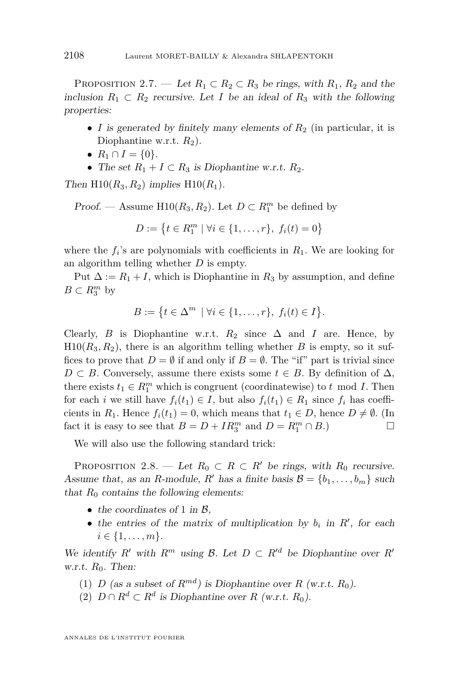<span id="page-6-0"></span>PROPOSITION 2.7. — Let  $R_1 \subset R_2 \subset R_3$  be rings, with  $R_1$ ,  $R_2$  and the inclusion  $R_1 \subset R_2$  recursive. Let *I* be an ideal of  $R_3$  with the following properties:

- *I* is generated by finitely many elements of  $R_2$  (in particular, it is Diophantine w.r.t.  $R_2$ ).
- $R_1 \cap I = \{0\}.$
- The set  $R_1 + I \subset R_3$  is Diophantine w.r.t.  $R_2$ .

Then  $H10(R_3, R_2)$  implies  $H10(R_1)$ .

Proof. — Assume  $H10(R_3, R_2)$ . Let  $D \subset R_1^m$  be defined by

$$
D := \{ t \in R_1^m \mid \forall i \in \{1, \ldots, r\}, \ f_i(t) = 0 \}
$$

where the  $f_i$ 's are polynomials with coefficients in  $R_1$ . We are looking for an algorithm telling whether *D* is empty.

Put  $\Delta := R_1 + I$ , which is Diophantine in  $R_3$  by assumption, and define  $B \subset R_3^m$  by

$$
B := \left\{ t \in \Delta^m \mid \forall i \in \{1, \ldots, r\}, \ f_i(t) \in I \right\}.
$$

Clearly, *B* is Diophantine w.r.t.  $R_2$  since  $\Delta$  and *I* are. Hence, by  $H10(R_3, R_2)$ , there is an algorithm telling whether *B* is empty, so it suffices to prove that  $D = \emptyset$  if and only if  $B = \emptyset$ . The "if" part is trivial since *D*  $\subset$  *B*. Conversely, assume there exists some *t*  $\in$  *B*. By definition of  $\Delta$ , there exists  $t_1 \in R_1^m$  which is congruent (coordinatewise) to  $t \mod I$ . Then for each *i* we still have  $f_i(t_1) \in I$ , but also  $f_i(t_1) \in R_1$  since  $f_i$  has coefficients in  $R_1$ . Hence  $f_i(t_1) = 0$ , which means that  $t_1 \in D$ , hence  $D \neq \emptyset$ . (In fact it is easy to see that  $B = D + IR_3^m$  and  $D = R_1^m \cap B$ .)

We will also use the following standard trick:

PROPOSITION 2.8. — Let  $R_0 \subset R \subset R'$  be rings, with  $R_0$  recursive. Assume that, as an *R*-module, *R'* has a finite basis  $\mathcal{B} = \{b_1, \ldots, b_m\}$  such that  $R_0$  contains the following elements:

- the coordinates of 1 in  $\beta$ ,
- the entries of the matrix of multiplication by  $b_i$  in  $R'$ , for each  $i \in \{1, \ldots, m\}.$

We identify *R'* with  $R^m$  using *B*. Let  $D \subset R'^d$  be Diophantine over  $R'$ w.r.t.  $R_0$ . Then:

- (1) *D* (as a subset of  $R^{md}$ ) is Diophantine over  $R$  (w.r.t.  $R_0$ ).
- (2) *D* ∩  $R^d$  ⊂  $R^d$  is Diophantine over  $R$  (w.r.t.  $R_0$ ).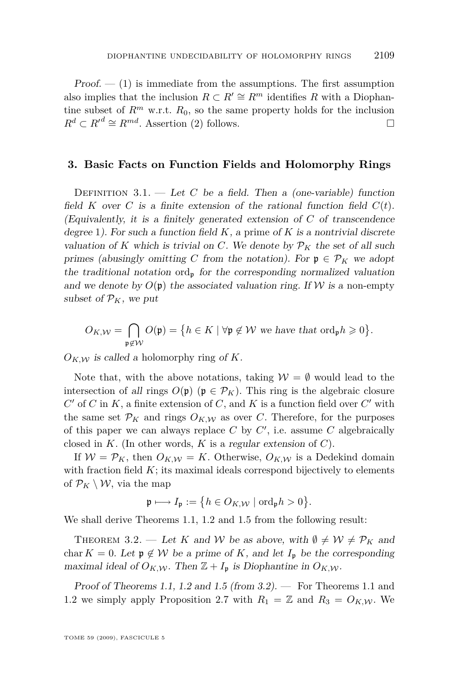<span id="page-7-0"></span> $Proof. - (1)$  $Proof. - (1)$  is immediate from the assumptions. The first assumption also implies that the inclusion  $R \subset R' \cong R^m$  identifies *R* with a Diophantine subset of  $R^m$  w.r.t.  $R_0$ , so the same property holds for the inclusion  $R^d \subset R'^d \cong R^{md}$ . Assertion [\(2\)](#page-6-0) follows.

#### **3. Basic Facts on Function Fields and Holomorphy Rings**

DEFINITION  $3.1.$  — Let *C* be a field. Then a (one-variable) function field *K* over *C* is a finite extension of the rational function field  $C(t)$ . (Equivalently, it is a finitely generated extension of *C* of transcendence degree 1). For such a function field *K*, a prime of *K* is a nontrivial discrete valuation of K which is trivial on C. We denote by  $\mathcal{P}_K$  the set of all such primes (abusingly omitting *C* from the notation). For  $\mathfrak{p} \in \mathcal{P}_K$  we adopt the traditional notation ord<sub>p</sub> for the corresponding normalized valuation and we denote by  $O(\mathfrak{p})$  the associated valuation ring. If W is a non-empty subset of  $\mathcal{P}_K$ , we put

$$
O_{K,\mathcal{W}} = \bigcap_{\mathfrak{p} \notin \mathcal{W}} O(\mathfrak{p}) = \big\{ h \in K \mid \forall \mathfrak{p} \notin \mathcal{W} \text{ we have that } \mathrm{ord}_{\mathfrak{p}} h \geqslant 0 \big\}.
$$

 $O_{K,W}$  is called a holomorphy ring of *K*.

Note that, with the above notations, taking  $W = \emptyset$  would lead to the intersection of all rings  $O(p)$  ( $p \in \mathcal{P}_K$ ). This ring is the algebraic closure  $C'$  of  $C$  in  $K$ , a finite extension of  $C$ , and  $K$  is a function field over  $C'$  with the same set  $\mathcal{P}_K$  and rings  $O_{K,\mathcal{W}}$  as over *C*. Therefore, for the purposes of this paper we can always replace  $C$  by  $C'$ , i.e. assume  $C$  algebraically closed in *K*. (In other words, *K* is a regular extension of *C*).

If  $W = \mathcal{P}_K$ , then  $O_{K,\mathcal{W}} = K$ . Otherwise,  $O_{K,\mathcal{W}}$  is a Dedekind domain with fraction field *K*; its maximal ideals correspond bijectively to elements of  $\mathcal{P}_K \setminus \mathcal{W}$ , via the map

$$
\mathfrak{p} \longmapsto I_{\mathfrak{p}} := \big\{ h \in O_{K,\mathcal{W}} \mid \text{ord}_{\mathfrak{p}} h > 0 \big\}.
$$

We shall derive Theorems [1.1,](#page-3-0) [1.2](#page-3-0) and [1.5](#page-4-0) from the following result:

THEOREM 3.2. — Let *K* and *W* be as above, with  $\emptyset \neq W \neq P_K$  and char  $K = 0$ . Let  $\mathfrak{p} \notin \mathcal{W}$  be a prime of K, and let  $I_{\mathfrak{p}}$  be the corresponding maximal ideal of  $O_{K,\mathcal{W}}$ . Then  $\mathbb{Z} + I_p$  is Diophantine in  $O_{K,\mathcal{W}}$ .

Proof of Theorems [1.1,](#page-3-0) [1.2](#page-3-0) and [1.5](#page-4-0) (from  $3.2$ ). — For Theorems [1.1](#page-3-0) and [1.2](#page-3-0) we simply apply Proposition [2.7](#page-6-0) with  $R_1 = \mathbb{Z}$  and  $R_3 = O_{K,\mathcal{W}}$ . We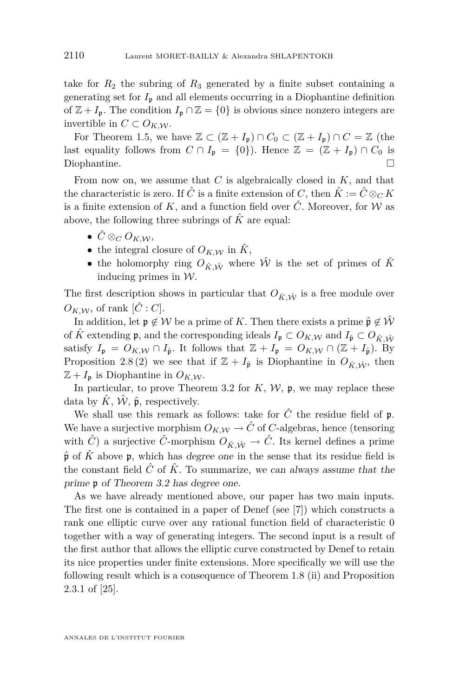<span id="page-8-0"></span>take for  $R_2$  the subring of  $R_3$  generated by a finite subset containing a generating set for  $I_p$  and all elements occurring in a Diophantine definition of  $\mathbb{Z} + I_p$ . The condition  $I_p \cap \mathbb{Z} = \{0\}$  is obvious since nonzero integers are invertible in  $C \subset O_{K,W}$ .

For Theorem [1.5,](#page-4-0) we have  $\mathbb{Z} \subset (\mathbb{Z} + I_p) \cap C_0 \subset (\mathbb{Z} + I_p) \cap C = \mathbb{Z}$  (the last equality follows from  $C \cap I_p = \{0\}$ . Hence  $\mathbb{Z} = (\mathbb{Z} + I_p) \cap C_0$  is Diophantine.

From now on, we assume that *C* is algebraically closed in *K*, and that the characteristic is zero. If  $\hat{C}$  is a finite extension of *C*, then  $\hat{K} := \hat{C} \otimes_{C} K$ is a finite extension of K, and a function field over  $\hat{C}$ . Moreover, for W as above, the following three subrings of  $\hat{K}$  are equal:

- $\hat{C} \otimes_C O_{K,\mathcal{W}},$
- the integral closure of  $O_{K,W}$  in  $\hat{K}$ ,
- the holomorphy ring  $O_{\hat{K}}$   $\hat{W}$ <sup>*w*</sup> is the set of primes of  $\hat{K}$ inducing primes in *W*.

The first description shows in particular that  $O_{\hat{K}, \hat{W}}$  is a free module over  $O_{K,W}$ , of rank  $[\hat{C}:C]$ .

In addition, let  $\mathfrak{p} \notin \mathcal{W}$  be a prime of *K*. Then there exists a prime  $\hat{\mathfrak{p}} \notin \hat{\mathcal{W}}$ of  $\hat{K}$  extending **p**, and the corresponding ideals  $I_p \subset O_{K,\mathcal{W}}$  and  $I_{\hat{p}} \subset O_{\hat{K}} \hat{w}$ satisfy  $I_p = O_{K,\mathcal{W}} \cap I_{\hat{p}}$ . It follows that  $\mathbb{Z} + I_p = O_{K,\mathcal{W}} \cap (\mathbb{Z} + I_{\hat{p}})$ . By Proposition [2.8](#page-6-0) [\(2\)](#page-6-0) we see that if  $\mathbb{Z} + I_{\hat{\mathfrak{p}}}$  is Diophantine in  $O_{\hat{\mathcal{K}} \hat{\mathcal{W}}}$ , then  $\mathbb{Z} + I_p$  is Diophantine in  $O_{K,\mathcal{W}}$ .

In particular, to prove Theorem [3.2](#page-7-0) for  $K$ ,  $W$ ,  $\mathfrak{p}$ , we may replace these data by  $\hat{K}$ ,  $\hat{W}$ ,  $\hat{\mathfrak{p}}$ , respectively.

We shall use this remark as follows: take for  $\hat{C}$  the residue field of  $\mathfrak{p}$ . We have a surjective morphism  $O_{K,\mathcal{W}} \to \hat{C}$  of *C*-algebras, hence (tensoring with  $\hat{C}$  a surjective  $\hat{C}$ -morphism  $O_{\hat{K}, \hat{W}} \to \hat{C}$ . Its kernel defines a prime  $\hat{\mathfrak{p}}$  of  $\hat{K}$  above  $\mathfrak{p}$ , which has degree one in the sense that its residue field is the constant field  $\hat{C}$  of  $\hat{K}$ . To summarize, we can always assume that the prime p of Theorem [3.2](#page-7-0) has degree one.

As we have already mentioned above, our paper has two main inputs. The first one is contained in a paper of Denef (see [\[7\]](#page-14-0)) which constructs a rank one elliptic curve over any rational function field of characteristic 0 together with a way of generating integers. The second input is a result of the first author that allows the elliptic curve constructed by Denef to retain its nice properties under finite extensions. More specifically we will use the following result which is a consequence of Theorem 1.8 (ii) and Proposition 2.3.1 of [\[25\]](#page-14-0).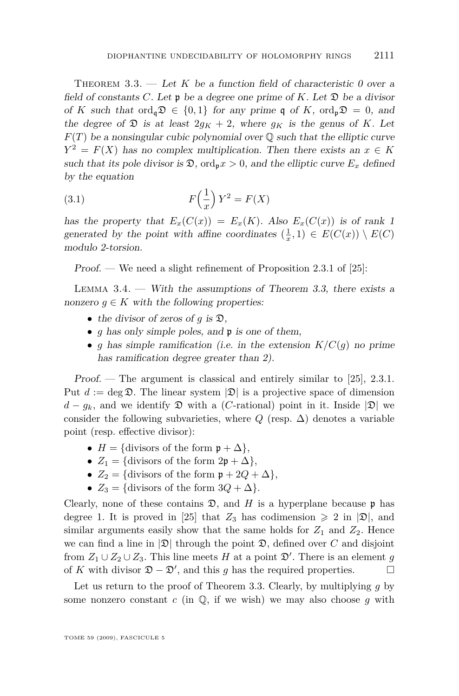<span id="page-9-0"></span>THEOREM  $3.3.$  — Let K be a function field of characteristic 0 over a field of constants  $C$ . Let  $\mathfrak p$  be a degree one prime of  $K$ . Let  $\mathfrak D$  be a divisor of *K* such that ord<sub>a</sub> $\mathfrak{D} \in \{0,1\}$  for any prime q of *K*, ord<sub>n</sub> $\mathfrak{D} = 0$ , and the degree of  $\mathfrak{D}$  is at least  $2q_K + 2$ , where  $q_K$  is the genus of K. Let  $F(T)$  be a nonsingular cubic polynomial over  $\mathbb Q$  such that the elliptic curve  $Y^2 = F(X)$  has no complex multiplication. Then there exists an  $x \in K$ such that its pole divisor is  $\mathfrak{D}$ , ord<sub>p</sub> $x > 0$ , and the elliptic curve  $E_x$  defined by the equation

(3.1) 
$$
F\left(\frac{1}{x}\right)Y^2 = F(X)
$$

has the property that  $E_x(C(x)) = E_x(K)$ . Also  $E_x(C(x))$  is of rank 1 generated by the point with affine coordinates  $(\frac{1}{x}, 1) \in E(C(x)) \setminus E(C)$ modulo 2-torsion.

Proof. — We need a slight refinement of Proposition 2.3.1 of [\[25\]](#page-14-0):

LEMMA  $3.4.$  — With the assumptions of Theorem [3.3,](#page-8-0) there exists a nonzero  $g \in K$  with the following properties:

- *•* the divisor of zeros of *g* is D,
- *• g* has only simple poles, and p is one of them,
- *g* has simple ramification (i.e. in the extension  $K/C(q)$  no prime has ramification degree greater than 2).

Proof. — The argument is classical and entirely similar to [\[25\]](#page-14-0), 2.3.1. Put  $d := \deg \mathfrak{D}$ . The linear system  $|\mathfrak{D}|$  is a projective space of dimension  $d - g_k$ , and we identify  $\mathfrak D$  with a (*C*-rational) point in it. Inside  $|\mathfrak D|$  we consider the following subvarieties, where  $Q$  (resp.  $\Delta$ ) denotes a variable point (resp. effective divisor):

- $H = \{$ divisors of the form  $\mathfrak{p} + \Delta \}$ ,
- $Z_1 = \{$ divisors of the form  $2\mathfrak{p} + \Delta\},\$
- $Z_2 = \{$ divisors of the form  $\mathfrak{p} + 2Q + \Delta \}$ ,
- $Z_3 = \{$ divisors of the form  $3Q + \Delta\}$ .

Clearly, none of these contains  $\mathfrak{D}$ , and *H* is a hyperplane because  $\mathfrak{p}$  has degree 1. It is proved in [\[25\]](#page-14-0) that  $Z_3$  has codimension  $\geq 2$  in  $|\mathfrak{D}|$ , and similar arguments easily show that the same holds for  $Z_1$  and  $Z_2$ . Hence we can find a line in  $|\mathfrak{D}|$  through the point  $\mathfrak{D}$ , defined over *C* and disjoint from  $Z_1 \cup Z_2 \cup Z_3$ . This line meets *H* at a point  $\mathfrak{D}'$ . There is an element *g* of *K* with divisor  $\mathfrak{D} - \mathfrak{D}'$ , and this *g* has the required properties.  $□$ 

Let us return to the proof of Theorem [3.3.](#page-8-0) Clearly, by multiplying *g* by some nonzero constant  $c$  (in  $\mathbb{Q}$ , if we wish) we may also choose  $g$  with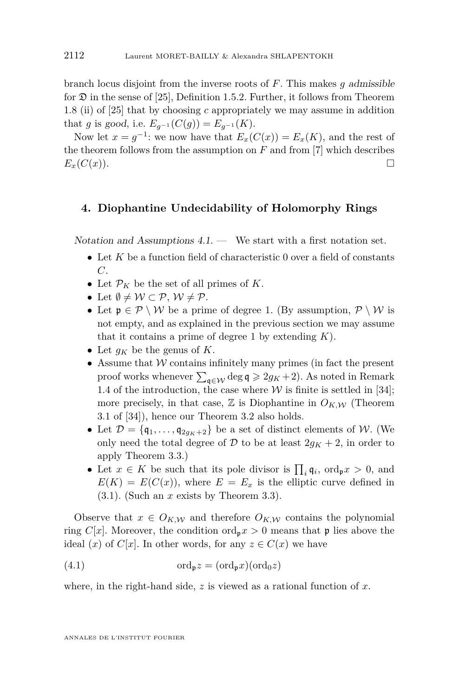<span id="page-10-0"></span>branch locus disjoint from the inverse roots of *F*. This makes *g* admissible for  $\mathfrak D$  in the sense of [\[25\]](#page-14-0), Definition 1.5.2. Further, it follows from Theorem 1.8 (ii) of [\[25\]](#page-14-0) that by choosing *c* appropriately we may assume in addition that *g* is good, i.e.  $E_{q^{-1}}(C(g)) = E_{q^{-1}}(K)$ .

Now let  $x = g^{-1}$ : we now have that  $E_x(C(x)) = E_x(K)$ , and the rest of the theorem follows from the assumption on  $F$  and from  $[7]$  which describes  $E_x(C(x))$ .

#### **4. Diophantine Undecidability of Holomorphy Rings**

Notation and Assumptions  $4.1.$  — We start with a first notation set.

- Let *K* be a function field of characteristic 0 over a field of constants *C*.
- Let  $\mathcal{P}_K$  be the set of all primes of *K*.
- Let  $\emptyset \neq \mathcal{W} \subset \mathcal{P}, \mathcal{W} \neq \mathcal{P}$ .
- Let  $\mathfrak{p} \in \mathcal{P} \setminus \mathcal{W}$  be a prime of degree 1. (By assumption,  $\mathcal{P} \setminus \mathcal{W}$  is not empty, and as explained in the previous section we may assume that it contains a prime of degree 1 by extending *K*).
- Let  $g_K$  be the genus of  $K$ .
- *•* Assume that *W* contains infinitely many primes (in fact the present proof works whenever  $\sum_{\mathbf{q} \in \mathcal{W}} \deg \mathbf{q} \geqslant 2g_K + 2$ ). As noted in Remark [1.4](#page-3-0) of the introduction, the case where  $W$  is finite is settled in [\[34\]](#page-15-0); more precisely, in that case,  $\mathbb{Z}$  is Diophantine in  $O_{K,\mathcal{W}}$  (Theorem 3.1 of [\[34\]](#page-15-0)), hence our Theorem [3.2](#page-7-0) also holds.
- Let  $\mathcal{D} = \{q_1, \ldots, q_{2q_K+2}\}\$ be a set of distinct elements of *W*. (We only need the total degree of  $\mathcal{D}$  to be at least  $2g_K + 2$ , in order to apply Theorem [3.3.](#page-8-0))
- Let  $x \in K$  be such that its pole divisor is  $\prod_i \mathfrak{q}_i$ , ord<sub>p</sub> $x > 0$ , and  $E(K) = E(C(x))$ , where  $E = E_x$  is the elliptic curve defined in [\(3.1\)](#page-9-0). (Such an *x* exists by Theorem [3.3\)](#page-8-0).

Observe that  $x \in O_{K,\mathcal{W}}$  and therefore  $O_{K,\mathcal{W}}$  contains the polynomial ring *C*[*x*]. Moreover, the condition ord<sub>p</sub> $x > 0$  means that **p** lies above the ideal  $(x)$  of  $C[x]$ . In other words, for any  $z \in C(x)$  we have

(4.1) 
$$
\mathrm{ord}_{\mathfrak{p}} z = (\mathrm{ord}_{\mathfrak{p}} x)(\mathrm{ord}_{0} z)
$$

where, in the right-hand side, *z* is viewed as a rational function of *x*.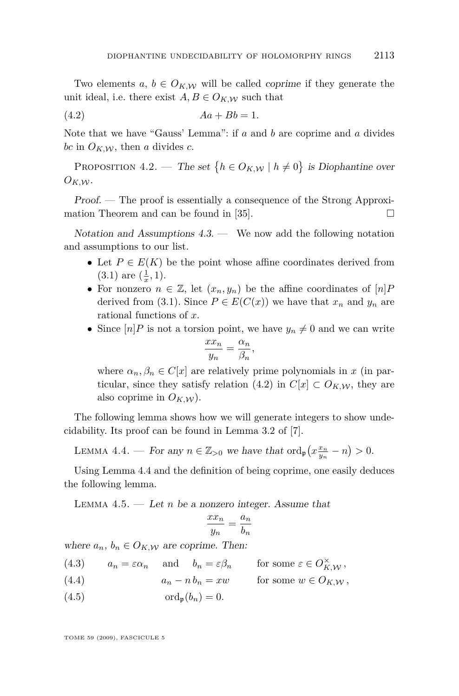<span id="page-11-0"></span>Two elements  $a, b \in O_{K,\mathcal{W}}$  will be called *coprime* if they generate the unit ideal, i.e. there exist  $A, B \in O_{K,W}$  such that

$$
(4.2) \t\t\t Aa + Bb = 1.
$$

Note that we have "Gauss' Lemma": if *a* and *b* are coprime and *a* divides *bc* in  $O_{K,\mathcal{W}}$ , then *a* divides *c*.

PROPOSITION 4.2. — The set  $\{h \in O_{K,\mathcal{W}} \mid h \neq 0\}$  is Diophantine over  $O_{K,W}$ .

Proof. — The proof is essentially a consequence of the Strong Approximation Theorem and can be found in [\[35\]](#page-15-0).

Notation and Assumptions  $4.3$ . — We now add the following notation and assumptions to our list.

- Let  $P \in E(K)$  be the point whose affine coordinates derived from  $(3.1)$  are  $(\frac{1}{x}, 1)$ .
- For nonzero  $n \in \mathbb{Z}$ , let  $(x_n, y_n)$  be the affine coordinates of  $[n]$ *P* derived from [\(3.1\)](#page-9-0). Since  $P \in E(C(x))$  we have that  $x_n$  and  $y_n$  are rational functions of *x*.
- Since  $[n]P$  is not a torsion point, we have  $y_n \neq 0$  and we can write

$$
\frac{xx_n}{y_n} = \frac{\alpha_n}{\beta_n},
$$

where  $\alpha_n, \beta_n \in C[x]$  are relatively prime polynomials in *x* (in particular, since they satisfy relation (4.2) in  $C[x] \subset O_{K,W}$ , they are also coprime in  $O_{K,\mathcal{W}}$ ).

The following lemma shows how we will generate integers to show undecidability. Its proof can be found in Lemma 3.2 of [\[7\]](#page-14-0).

LEMMA 4.4. — For any  $n \in \mathbb{Z}_{>0}$  we have that  $\text{ord}_{\mathfrak{p}}(x_{\frac{y_n}{y_n}} - n) > 0$ .

Using Lemma 4.4 and the definition of being coprime, one easily deduces the following lemma.

LEMMA  $4.5.$  — Let *n* be a nonzero integer. Assume that

$$
\frac{xx_n}{y_n} = \frac{a_n}{b_n}
$$

where  $a_n$ ,  $b_n \in O_{K,\mathcal{W}}$  are coprime. Then:

(4.3)  $a_n = \varepsilon \alpha_n$  and  $b_n = \varepsilon \beta_n$  for some  $\varepsilon \in O_{K,\mathcal{W}}^{\times}$ ,

- (4.4)  $a_n nb_n = xw$  for some  $w \in O_{K,W}$ ,
- (4.5)  $\text{ord}_{p}(b_{n}) = 0.$

TOME 59 (2009), FASCICULE 5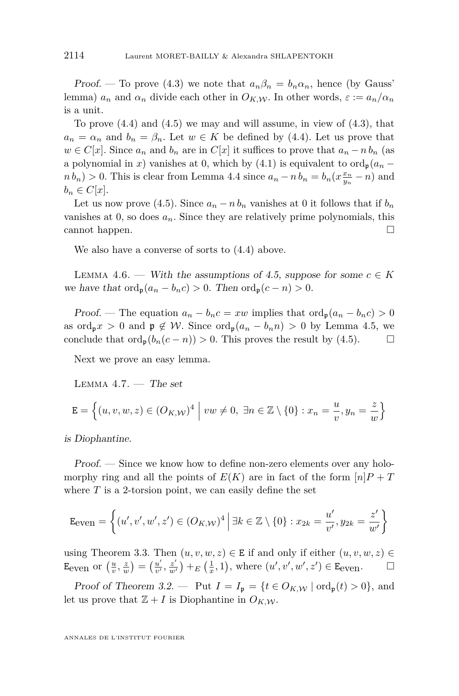<span id="page-12-0"></span>Proof. — To prove [\(4.3\)](#page-11-0) we note that  $a_n\beta_n = b_n\alpha_n$ , hence (by Gauss' lemma)  $a_n$  and  $\alpha_n$  divide each other in  $O_{K,W}$ . In other words,  $\varepsilon := a_n/\alpha_n$ is a unit.

To prove  $(4.4)$  and  $(4.5)$  we may and will assume, in view of  $(4.3)$ , that  $a_n = \alpha_n$  and  $b_n = \beta_n$ . Let  $w \in K$  be defined by [\(4.4\)](#page-11-0). Let us prove that  $w \in C[x]$ . Since  $a_n$  and  $b_n$  are in  $C[x]$  it suffices to prove that  $a_n - n b_n$  (as a polynomial in *x*) vanishes at 0, which by [\(4.1\)](#page-10-0) is equivalent to  $\text{ord}_{p}(a_{n}$  $n b_n$ ) > 0. This is clear from Lemma [4.4](#page-11-0) since  $a_n - n b_n = b_n (x \frac{x_n}{y_n} - n)$  and  $b_n \in C[x]$ .

Let us now prove [\(4.5\)](#page-11-0). Since  $a_n - nb_n$  vanishes at 0 it follows that if  $b_n$ vanishes at 0, so does  $a_n$ . Since they are relatively prime polynomials, this cannot happen.

We also have a converse of sorts to [\(4.4\)](#page-11-0) above.

LEMMA 4.6. — With the assumptions of [4.5,](#page-11-0) suppose for some  $c \in K$ we have that  $\text{ord}_{p}(a_{n}-b_{n}c) > 0$ . Then  $\text{ord}_{p}(c-n) > 0$ .

Proof. — The equation  $a_n - b_n c = xw$  implies that  $\text{ord}_{\mathfrak{p}}(a_n - b_n c) > 0$ as ord<sub>p</sub>x > 0 and  $p \notin W$ . Since ord<sub>p</sub> $(a_n - b_n n) > 0$  by Lemma [4.5,](#page-11-0) we conclude that  $\text{ord}_{p}(b_{n}(c-n)) > 0$ . This proves the result by [\(4.5\)](#page-11-0). □

Next we prove an easy lemma.

LEMMA  $4.7.$  – The set

$$
\mathbf{E} = \left\{ (u, v, w, z) \in (O_{K,\mathcal{W}})^4 \; \middle| \; vw \neq 0, \; \exists n \in \mathbb{Z} \setminus \{0\} : x_n = \frac{u}{v}, y_n = \frac{z}{w} \right\}
$$

is Diophantine.

Proof. — Since we know how to define non-zero elements over any holomorphy ring and all the points of  $E(K)$  are in fact of the form  $|n|P + T$ where  $T$  is a 2-torsion point, we can easily define the set

$$
\text{Even} = \left\{ (u', v', w', z') \in (O_K, \omega)^4 \mid \exists k \in \mathbb{Z} \setminus \{0\} : x_{2k} = \frac{u'}{v'}, y_{2k} = \frac{z'}{w'} \right\}
$$

using Theorem [3.3.](#page-8-0) Then  $(u, v, w, z) \in E$  if and only if either  $(u, v, w, z) \in E$ Eeven or  $\left(\frac{u}{v}, \frac{z}{w}\right) = \left(\frac{u'}{v'}\right)$  $\frac{u'}{v'}$ ,  $\frac{z'}{w'}$  $\frac{z'}{w'}$  +  $E\left(\frac{1}{x}, 1\right)$ , where  $(u', v', w', z') \in \mathbb{E}_{\text{even}}$ .

Proof of Theorem [3.2.](#page-7-0) — Put  $I = I_p = \{t \in O_{K,\mathcal{W}} | \text{ord}_p(t) > 0\}$ , and let us prove that  $\mathbb{Z} + I$  is Diophantine in  $O_{K,\mathcal{W}}$ .

ANNALES DE L'INSTITUT FOURIER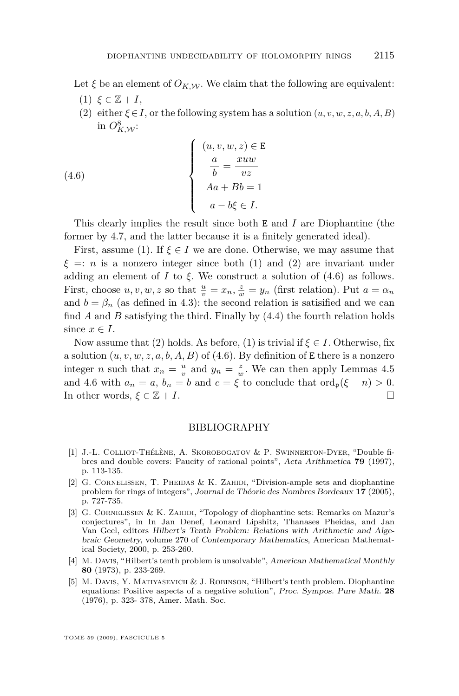<span id="page-13-0"></span>Let  $\xi$  be an element of  $O_{K,W}$ . We claim that the following are equivalent:

- $(1)$   $\xi \in \mathbb{Z} + I$ ,
- (2) either  $\xi \in I$ , or the following system has a solution  $(u, v, w, z, a, b, A, B)$ in  $O_{K,{\mathcal{W}}}^8$ :

(4.6) 
$$
\begin{cases}\n(u, v, w, z) \in \mathbf{E} \\
\frac{a}{b} = \frac{xuw}{vz} \\
Aa + Bb = 1 \\
a - b\xi \in I.\n\end{cases}
$$

This clearly implies the result since both E and *I* are Diophantine (the former by [4.7,](#page-12-0) and the latter because it is a finitely generated ideal).

First, assume (1). If  $\xi \in I$  we are done. Otherwise, we may assume that  $\xi =: n$  is a nonzero integer since both (1) and (2) are invariant under adding an element of *I* to  $\xi$ . We construct a solution of  $(4.6)$  as follows. First, choose  $u, v, w, z$  so that  $\frac{u}{v} = x_n$ ,  $\frac{z}{w} = y_n$  (first relation). Put  $a = \alpha_n$ and  $b = \beta_n$  (as defined in [4.3\)](#page-11-0): the second relation is satisfied and we can find *A* and *B* satisfying the third. Finally by [\(4.4\)](#page-11-0) the fourth relation holds since  $x \in I$ .

Now assume that (2) holds. As before, (1) is trivial if  $\xi \in I$ . Otherwise, fix a solution  $(u, v, w, z, a, b, A, B)$  of (4.6). By definition of **E** there is a nonzero integer *n* such that  $x_n = \frac{u}{v}$  and  $y_n = \frac{z}{w}$ . We can then apply Lemmas [4.5](#page-11-0) and [4.6](#page-12-0) with  $a_n = a$ ,  $b_n = b$  and  $c = \xi$  to conclude that  $\text{ord}_p(\xi - n) > 0$ . In other words,  $\xi \in \mathbb{Z} + I$ .

#### BIBLIOGRAPHY

- [1] J.-L. Colliot-Thélène, A. Skorobogatov & P. Swinnerton-Dyer, "Double fibres and double covers: Paucity of rational points", Acta Arithmetica **79** (1997), p. 113-135.
- [2] G. Cornelissen, T. Pheidas & K. Zahidi, "Division-ample sets and diophantine problem for rings of integers", Journal de Théorie des Nombres Bordeaux **17** (2005), p. 727-735.
- [3] G. Cornelissen & K. Zahidi, "Topology of diophantine sets: Remarks on Mazur's conjectures", in In Jan Denef, Leonard Lipshitz, Thanases Pheidas, and Jan Van Geel, editors Hilbert's Tenth Problem: Relations with Arithmetic and Algebraic Geometry, volume 270 of Contemporary Mathematics, American Mathematical Society, 2000, p. 253-260.
- [4] M. Davis, "Hilbert's tenth problem is unsolvable", American Mathematical Monthly **80** (1973), p. 233-269.
- [5] M. Davis, Y. Matiyasevich & J. Robinson, "Hilbert's tenth problem. Diophantine equations: Positive aspects of a negative solution", Proc. Sympos. Pure Math. **28** (1976), p. 323- 378, Amer. Math. Soc.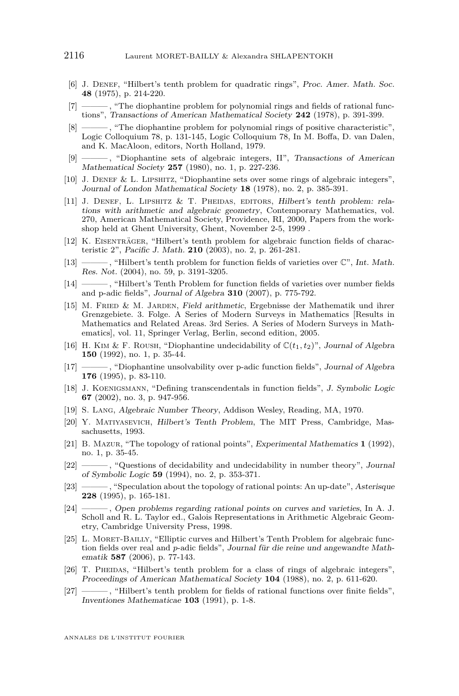- <span id="page-14-0"></span>[6] J. DENEF, "Hilbert's tenth problem for quadratic rings", Proc. Amer. Math. Soc. **48** (1975), p. 214-220.
- [7] ——— , "The diophantine problem for polynomial rings and fields of rational functions", Transactions of American Mathematical Society **242** (1978), p. 391-399.
- [8] ———, "The diophantine problem for polynomial rings of positive characteristic", Logic Colloquium 78, p. 131-145, Logic Colloquium 78, In M. Boffa, D. van Dalen, and K. MacAloon, editors, North Holland, 1979.
- [9] ——— , "Diophantine sets of algebraic integers, II", Transactions of American Mathematical Society **257** (1980), no. 1, p. 227-236.
- [10] J. Denef & L. Lipshitz, "Diophantine sets over some rings of algebraic integers", Journal of London Mathematical Society **18** (1978), no. 2, p. 385-391.
- [11] J. DENEF, L. LIPSHITZ  $&\mathcal{T}$ . PHEIDAS, EDITORS, Hilbert's tenth problem: relations with arithmetic and algebraic geometry, Contemporary Mathematics, vol. 270, American Mathematical Society, Providence, RI, 2000, Papers from the workshop held at Ghent University, Ghent, November 2-5, 1999 .
- [12] K. Eisenträger, "Hilbert's tenth problem for algebraic function fields of characteristic 2", Pacific J. Math. **210** (2003), no. 2, p. 261-281.
- [13] ——— , "Hilbert's tenth problem for function fields of varieties over C", Int. Math. Res. Not. (2004), no. 59, p. 3191-3205.
- [14] ——— , "Hilbert's Tenth Problem for function fields of varieties over number fields and p-adic fields", Journal of Algebra **310** (2007), p. 775-792.
- [15] M. Fried & M. Jarden, Field arithmetic, Ergebnisse der Mathematik und ihrer Grenzgebiete. 3. Folge. A Series of Modern Surveys in Mathematics [Results in Mathematics and Related Areas. 3rd Series. A Series of Modern Surveys in Mathematics], vol. 11, Springer Verlag, Berlin, second edition, 2005.
- [16] H. KIM & F. ROUSH, "Diophantine undecidability of  $\mathbb{C}(t_1, t_2)$ ", Journal of Algebra **150** (1992), no. 1, p. 35-44.
- [17] ——— , "Diophantine unsolvability over p-adic function fields", Journal of Algebra **176** (1995), p. 83-110.
- [18] J. Koenigsmann, "Defining transcendentals in function fields", J. Symbolic Logic **67** (2002), no. 3, p. 947-956.
- [19] S. Lang, Algebraic Number Theory, Addison Wesley, Reading, MA, 1970.
- [20] Y. Matiyasevich, Hilbert's Tenth Problem, The MIT Press, Cambridge, Massachusetts, 1993.
- [21] B. Mazur, "The topology of rational points", Experimental Mathematics **1** (1992), no. 1, p. 35-45.
- [22] ——— , "Questions of decidability and undecidability in number theory", Journal of Symbolic Logic **59** (1994), no. 2, p. 353-371.
- [23] ——— , "Speculation about the topology of rational points: An up-date", Asterisque **228** (1995), p. 165-181.
- [24] ——— , Open problems regarding rational points on curves and varieties, In A. J. Scholl and R. L. Taylor ed., Galois Representations in Arithmetic Algebraic Geometry, Cambridge University Press, 1998.
- [25] L. MORET-BAILLY, "Elliptic curves and Hilbert's Tenth Problem for algebraic function fields over real and *p*-adic fields", Journal für die reine und angewandte Mathematik **587** (2006), p. 77-143.
- [26] T. PHEIDAS, "Hilbert's tenth problem for a class of rings of algebraic integers", Proceedings of American Mathematical Society **104** (1988), no. 2, p. 611-620.
- [27] ——— , "Hilbert's tenth problem for fields of rational functions over finite fields", Inventiones Mathematicae **103** (1991), p. 1-8.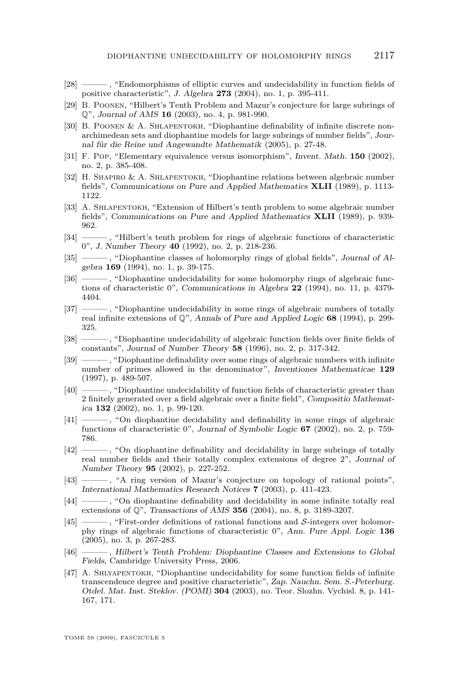- <span id="page-15-0"></span>[28] ——— , "Endomorphisms of elliptic curves and undecidability in function fields of positive characteristic", J. Algebra **273** (2004), no. 1, p. 395-411.
- [29] B. Poonen, "Hilbert's Tenth Problem and Mazur's conjecture for large subrings of Q", Journal of AMS **16** (2003), no. 4, p. 981-990.
- [30] B. POONEN & A. SHLAPENTOKH, "Diophantine definability of infinite discrete nonarchimedean sets and diophantine models for large subrings of number fields", Journal für die Reine und Angewandte Mathematik (2005), p. 27-48.
- [31] F. Pop, "Elementary equivalence versus isomorphism", Invent. Math. **150** (2002), no. 2, p. 385-408.
- [32] H. Shapiro & A. Shlapentokh, "Diophantine relations between algebraic number fields", Communications on Pure and Applied Mathematics **XLII** (1989), p. 1113- 1122.
- [33] A. SHLAPENTOKH, "Extension of Hilbert's tenth problem to some algebraic number fields", Communications on Pure and Applied Mathematics **XLII** (1989), p. 939- 962.
- [34] ——— , "Hilbert's tenth problem for rings of algebraic functions of characteristic 0", J. Number Theory **40** (1992), no. 2, p. 218-236.
- [35] ——, "Diophantine classes of holomorphy rings of global fields", Journal of Algebra **169** (1994), no. 1, p. 39-175.
- [36] ——— , "Diophantine undecidability for some holomorphy rings of algebraic functions of characteristic 0", Communications in Algebra **22** (1994), no. 11, p. 4379- 4404.
- [37] ——— , "Diophantine undecidability in some rings of algebraic numbers of totally real infinite extensions of Q", Annals of Pure and Applied Logic **68** (1994), p. 299- 325.
- [38] ——— , "Diophantine undecidability of algebraic function fields over finite fields of constants", Journal of Number Theory **58** (1996), no. 2, p. 317-342.
- [39] ——— , "Diophantine definability over some rings of algebraic numbers with infinite number of primes allowed in the denominator", Inventiones Mathematicae **129** (1997), p. 489-507.
- [40] ——— , "Diophantine undecidability of function fields of characteristic greater than 2 finitely generated over a field algebraic over a finite field", Compositio Mathematica **132** (2002), no. 1, p. 99-120.
- [41] ——— , "On diophantine decidability and definability in some rings of algebraic functions of characteristic 0", Journal of Symbolic Logic **67** (2002), no. 2, p. 759- 786.
- [42] ——— , "On diophantine definability and decidability in large subrings of totally real number fields and their totally complex extensions of degree 2", Journal of Number Theory **95** (2002), p. 227-252.
- [43] ——— , "A ring version of Mazur's conjecture on topology of rational points", International Mathematics Research Notices **7** (2003), p. 411-423.
- [44] ——— , "On diophantine definability and decidability in some infinite totally real extensions of Q", Transactions of AMS **356** (2004), no. 8, p. 3189-3207.
- [45] ——— , "First-order definitions of rational functions and *S*-integers over holomorphy rings of algebraic functions of characteristic 0", Ann. Pure Appl. Logic **136** (2005), no. 3, p. 267-283.
- [46] ——— , Hilbert's Tenth Problem: Diophantine Classes and Extensions to Global Fields, Cambridge University Press, 2006.
- [47] A. SHLYAPENTOKH, "Diophantine undecidability for some function fields of infinite transcendence degree and positive characteristic", Zap. Nauchn. Sem. S.-Peterburg. Otdel. Mat. Inst. Steklov. (POMI) **304** (2003), no. Teor. Slozhn. Vychisl. 8, p. 141- 167, 171.